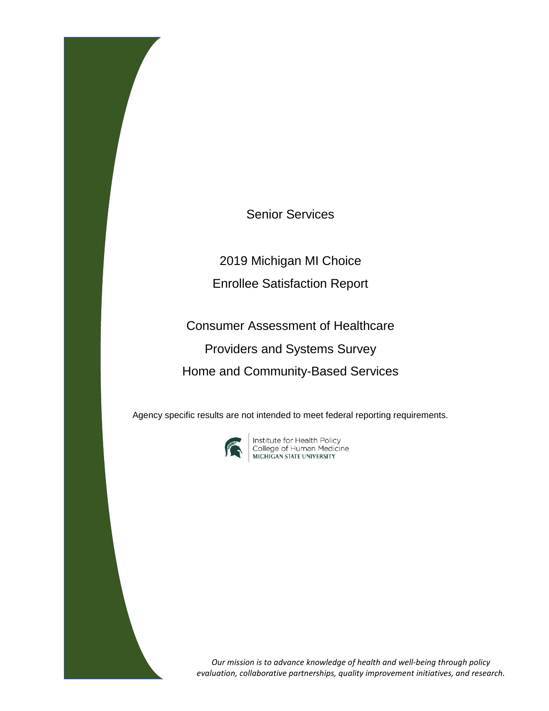Senior Services

2019 Michigan MI Choice Enrollee Satisfaction Report

Consumer Assessment of Healthcare Providers and Systems Survey Home and Community-Based Services

Agency specific results are not intended to meet federal reporting requirements.



**Institute for Health Policy<br>College of Human Medicine<br>MICHIGAN STATE UNIVERSITY** 

*Our mission is to advance knowledge of health and well-being through policy evaluation, collaborative partnerships, quality improvement initiatives, and research.*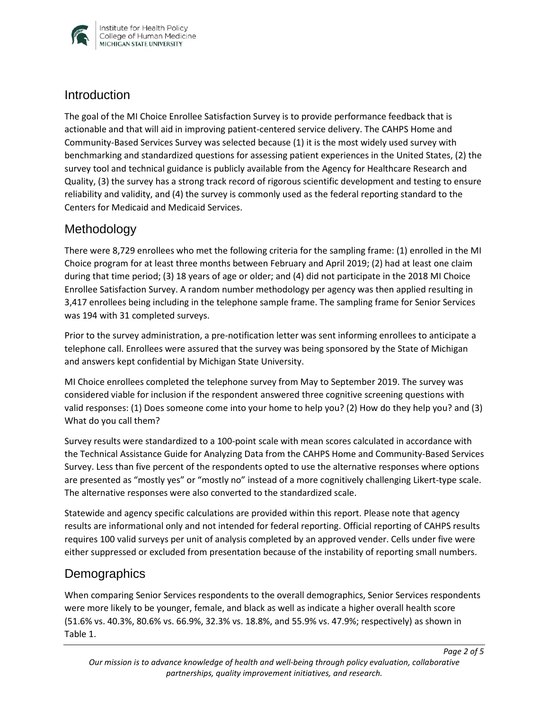

#### **Introduction**

The goal of the MI Choice Enrollee Satisfaction Survey is to provide performance feedback that is actionable and that will aid in improving patient-centered service delivery. The CAHPS Home and Community-Based Services Survey was selected because (1) it is the most widely used survey with benchmarking and standardized questions for assessing patient experiences in the United States, (2) the survey tool and technical guidance is publicly available from the Agency for Healthcare Research and Quality, (3) the survey has a strong track record of rigorous scientific development and testing to ensure reliability and validity, and (4) the survey is commonly used as the federal reporting standard to the Centers for Medicaid and Medicaid Services.

# Methodology

There were 8,729 enrollees who met the following criteria for the sampling frame: (1) enrolled in the MI Choice program for at least three months between February and April 2019; (2) had at least one claim during that time period; (3) 18 years of age or older; and (4) did not participate in the 2018 MI Choice Enrollee Satisfaction Survey. A random number methodology per agency was then applied resulting in 3,417 enrollees being including in the telephone sample frame. The sampling frame for Senior Services was 194 with 31 completed surveys.

Prior to the survey administration, a pre-notification letter was sent informing enrollees to anticipate a telephone call. Enrollees were assured that the survey was being sponsored by the State of Michigan and answers kept confidential by Michigan State University.

MI Choice enrollees completed the telephone survey from May to September 2019. The survey was considered viable for inclusion if the respondent answered three cognitive screening questions with valid responses: (1) Does someone come into your home to help you? (2) How do they help you? and (3) What do you call them?

Survey results were standardized to a 100-point scale with mean scores calculated in accordance with the Technical Assistance Guide for Analyzing Data from the CAHPS Home and Community-Based Services Survey. Less than five percent of the respondents opted to use the alternative responses where options are presented as "mostly yes" or "mostly no" instead of a more cognitively challenging Likert-type scale. The alternative responses were also converted to the standardized scale.

Statewide and agency specific calculations are provided within this report. Please note that agency results are informational only and not intended for federal reporting. Official reporting of CAHPS results requires 100 valid surveys per unit of analysis completed by an approved vender. Cells under five were either suppressed or excluded from presentation because of the instability of reporting small numbers.

# **Demographics**

When comparing Senior Services respondents to the overall demographics, Senior Services respondents were more likely to be younger, female, and black as well as indicate a higher overall health score (51.6% vs. 40.3%, 80.6% vs. 66.9%, 32.3% vs. 18.8%, and 55.9% vs. 47.9%; respectively) as shown in Table 1.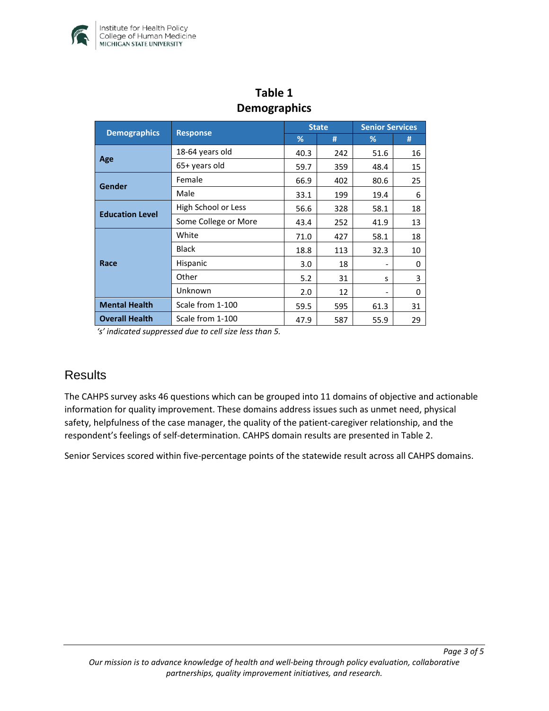

| DEINUSIAPHILUS         |                      |              |     |                        |    |  |  |  |
|------------------------|----------------------|--------------|-----|------------------------|----|--|--|--|
|                        | <b>Response</b>      | <b>State</b> |     | <b>Senior Services</b> |    |  |  |  |
| <b>Demographics</b>    |                      | %            | #   | %                      | #  |  |  |  |
| Age                    | 18-64 years old      | 40.3         | 242 | 51.6                   | 16 |  |  |  |
|                        | 65+ years old        | 59.7         | 359 | 48.4                   | 15 |  |  |  |
| Gender                 | Female               | 66.9         | 402 | 80.6                   | 25 |  |  |  |
|                        | Male                 | 33.1         | 199 | 19.4                   | 6  |  |  |  |
| <b>Education Level</b> | High School or Less  | 56.6         | 328 | 58.1                   | 18 |  |  |  |
|                        | Some College or More | 43.4         | 252 | 41.9                   | 13 |  |  |  |
| Race                   | White                | 71.0         | 427 | 58.1                   | 18 |  |  |  |
|                        | <b>Black</b>         | 18.8         | 113 | 32.3                   | 10 |  |  |  |
|                        | Hispanic             | 3.0          | 18  |                        | 0  |  |  |  |
|                        | Other                | 5.2          | 31  | s                      | 3  |  |  |  |
|                        | Unknown              | 2.0          | 12  |                        | 0  |  |  |  |
| <b>Mental Health</b>   | Scale from 1-100     | 59.5         | 595 | 61.3                   | 31 |  |  |  |
| <b>Overall Health</b>  | Scale from 1-100     | 47.9         | 587 | 55.9                   | 29 |  |  |  |

# **Table 1 Demographics**

*'s' indicated suppressed due to cell size less than 5.* 

# **Results**

The CAHPS survey asks 46 questions which can be grouped into 11 domains of objective and actionable information for quality improvement. These domains address issues such as unmet need, physical safety, helpfulness of the case manager, the quality of the patient-caregiver relationship, and the respondent's feelings of self-determination. CAHPS domain results are presented in Table 2.

Senior Services scored within five-percentage points of the statewide result across all CAHPS domains.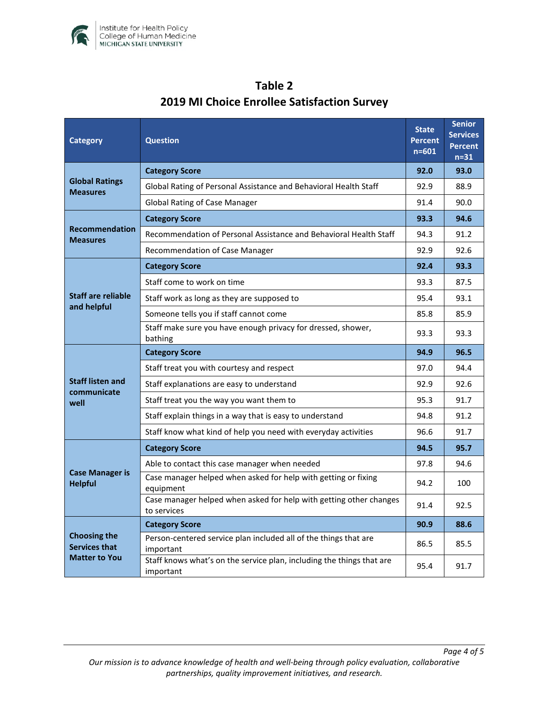

| Category                                                            | <b>Question</b>                                                                    |      | <b>Senior</b><br><b>Services</b><br><b>Percent</b><br>$n=31$ |
|---------------------------------------------------------------------|------------------------------------------------------------------------------------|------|--------------------------------------------------------------|
| <b>Global Ratings</b><br><b>Measures</b>                            | <b>Category Score</b>                                                              |      | 93.0                                                         |
|                                                                     | Global Rating of Personal Assistance and Behavioral Health Staff                   |      | 88.9                                                         |
|                                                                     | Global Rating of Case Manager                                                      |      | 90.0                                                         |
| <b>Recommendation</b><br><b>Measures</b>                            | <b>Category Score</b>                                                              | 93.3 | 94.6                                                         |
|                                                                     | Recommendation of Personal Assistance and Behavioral Health Staff                  | 94.3 | 91.2                                                         |
|                                                                     | Recommendation of Case Manager                                                     | 92.9 | 92.6                                                         |
| <b>Staff are reliable</b><br>and helpful                            | <b>Category Score</b>                                                              | 92.4 | 93.3                                                         |
|                                                                     | Staff come to work on time                                                         | 93.3 | 87.5                                                         |
|                                                                     | Staff work as long as they are supposed to                                         | 95.4 | 93.1                                                         |
|                                                                     | Someone tells you if staff cannot come                                             | 85.8 | 85.9                                                         |
|                                                                     | Staff make sure you have enough privacy for dressed, shower,<br>bathing            | 93.3 | 93.3                                                         |
| <b>Staff listen and</b><br>communicate<br>well                      | <b>Category Score</b>                                                              | 94.9 | 96.5                                                         |
|                                                                     | Staff treat you with courtesy and respect                                          | 97.0 | 94.4                                                         |
|                                                                     | Staff explanations are easy to understand                                          | 92.9 | 92.6                                                         |
|                                                                     | Staff treat you the way you want them to                                           | 95.3 | 91.7                                                         |
|                                                                     | Staff explain things in a way that is easy to understand                           | 94.8 | 91.2                                                         |
|                                                                     | Staff know what kind of help you need with everyday activities                     | 96.6 | 91.7                                                         |
| <b>Case Manager is</b><br><b>Helpful</b>                            | <b>Category Score</b>                                                              | 94.5 | 95.7                                                         |
|                                                                     | Able to contact this case manager when needed                                      | 97.8 | 94.6                                                         |
|                                                                     | Case manager helped when asked for help with getting or fixing<br>equipment        |      | 100                                                          |
|                                                                     | Case manager helped when asked for help with getting other changes<br>to services  | 91.4 | 92.5                                                         |
| <b>Choosing the</b><br><b>Services that</b><br><b>Matter to You</b> | <b>Category Score</b>                                                              | 90.9 | 88.6                                                         |
|                                                                     | Person-centered service plan included all of the things that are<br>important      | 86.5 | 85.5                                                         |
|                                                                     | Staff knows what's on the service plan, including the things that are<br>important | 95.4 | 91.7                                                         |

# **Table 2 2019 MI Choice Enrollee Satisfaction Survey**